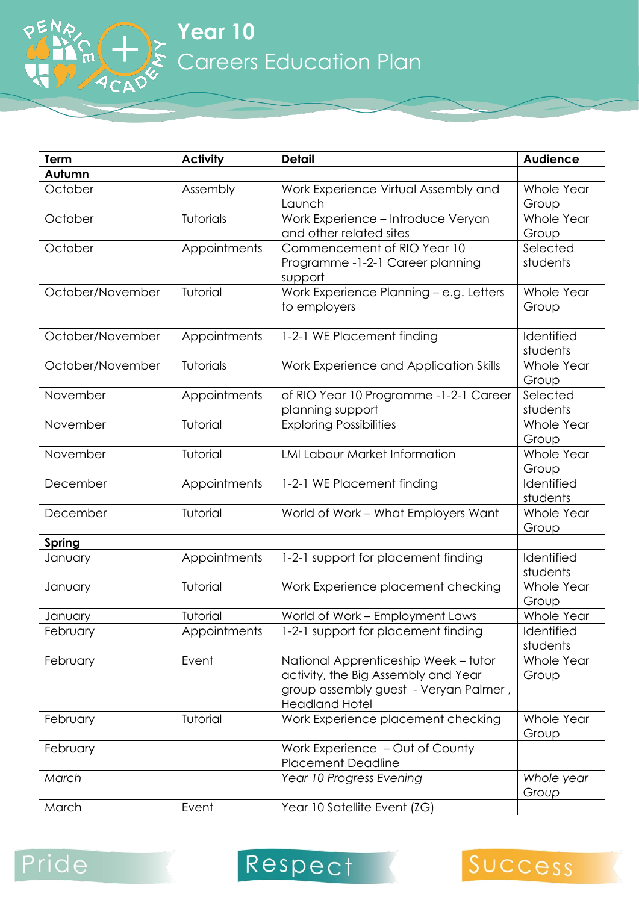**Year 10** Careers Education Plan

| Term             | <b>Activity</b> | <b>Detail</b>                                                                                                                                 | <b>Audience</b>        |
|------------------|-----------------|-----------------------------------------------------------------------------------------------------------------------------------------------|------------------------|
| Autumn           |                 |                                                                                                                                               |                        |
| October          | Assembly        | Work Experience Virtual Assembly and<br>Launch                                                                                                | Whole Year<br>Group    |
| October          | Tutorials       | Work Experience - Introduce Veryan<br>and other related sites                                                                                 | Whole Year<br>Group    |
| October          | Appointments    | Commencement of RIO Year 10<br>Programme -1-2-1 Career planning<br>support                                                                    | Selected<br>students   |
| October/November | Tutorial        | Work Experience Planning - e.g. Letters<br>to employers                                                                                       | Whole Year<br>Group    |
| October/November | Appointments    | 1-2-1 WE Placement finding                                                                                                                    | Identified<br>students |
| October/November | Tutorials       | Work Experience and Application Skills                                                                                                        | Whole Year<br>Group    |
| November         | Appointments    | of RIO Year 10 Programme -1-2-1 Career<br>planning support                                                                                    | Selected<br>students   |
| November         | Tutorial        | <b>Exploring Possibilities</b>                                                                                                                | Whole Year<br>Group    |
| November         | Tutorial        | <b>LMI Labour Market Information</b>                                                                                                          | Whole Year<br>Group    |
| December         | Appointments    | 1-2-1 WE Placement finding                                                                                                                    | Identified<br>students |
| December         | Tutorial        | World of Work - What Employers Want                                                                                                           | Whole Year<br>Group    |
| <b>Spring</b>    |                 |                                                                                                                                               |                        |
| January          | Appointments    | 1-2-1 support for placement finding                                                                                                           | Identified<br>students |
| January          | Tutorial        | Work Experience placement checking                                                                                                            | Whole Year<br>Group    |
| January          | Tutorial        | World of Work - Employment Laws                                                                                                               | Whole Year             |
| <b>February</b>  | Appointments    | 1-2-1 support for placement finding                                                                                                           | Identified<br>students |
| February         | Event           | National Apprenticeship Week - tutor<br>activity, the Big Assembly and Year<br>group assembly guest - Veryan Palmer,<br><b>Headland Hotel</b> | Whole Year<br>Group    |
| February         | Tutorial        | Work Experience placement checking                                                                                                            | Whole Year<br>Group    |
| February         |                 | Work Experience - Out of County<br><b>Placement Deadline</b>                                                                                  |                        |
| March            |                 | Year 10 Progress Evening                                                                                                                      | Whole year<br>Group    |
| March            | Event           | Year 10 Satellite Event (ZG)                                                                                                                  |                        |





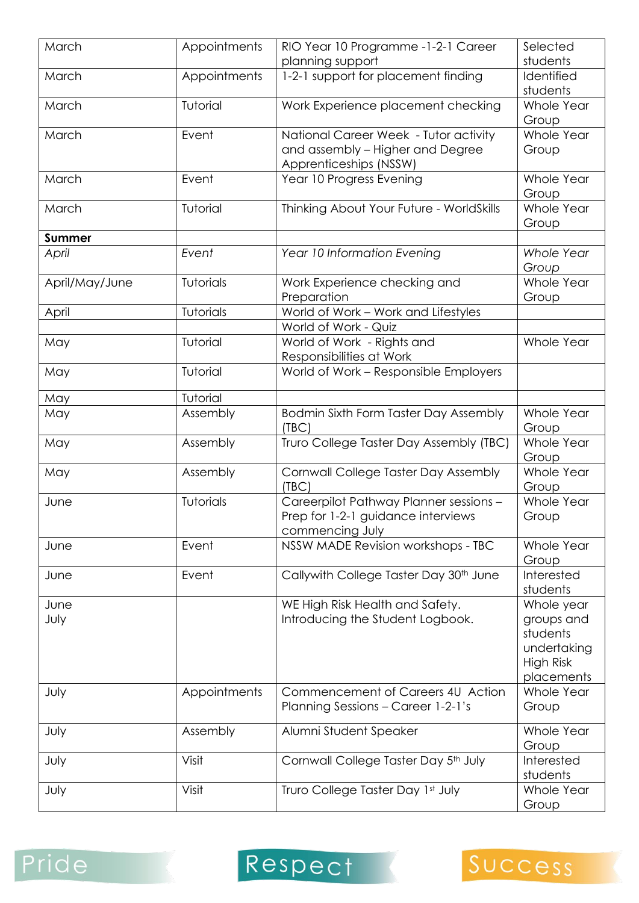| March          | Appointments | RIO Year 10 Programme -1-2-1 Career                                                             | Selected                                                                       |
|----------------|--------------|-------------------------------------------------------------------------------------------------|--------------------------------------------------------------------------------|
|                |              | planning support                                                                                | students                                                                       |
| March          | Appointments | 1-2-1 support for placement finding                                                             | Identified<br>students                                                         |
| March          | Tutorial     | Work Experience placement checking                                                              | Whole Year<br>Group                                                            |
| March          | Event        | National Career Week - Tutor activity                                                           | Whole Year                                                                     |
|                |              | and assembly - Higher and Degree<br>Apprenticeships (NSSW)                                      | Group                                                                          |
| March          | Event        | Year 10 Progress Evening                                                                        | Whole Year<br>Group                                                            |
| March          | Tutorial     | Thinking About Your Future - WorldSkills                                                        | Whole Year<br>Group                                                            |
| <b>Summer</b>  |              |                                                                                                 |                                                                                |
| April          | Event        | Year 10 Information Evening                                                                     | <b>Whole Year</b><br>Group                                                     |
| April/May/June | Tutorials    | Work Experience checking and<br>Preparation                                                     | Whole Year<br>Group                                                            |
| April          | Tutorials    | World of Work - Work and Lifestyles                                                             |                                                                                |
|                |              | World of Work - Quiz                                                                            |                                                                                |
| May            | Tutorial     | World of Work - Rights and<br>Responsibilities at Work                                          | Whole Year                                                                     |
| May            | Tutorial     | World of Work - Responsible Employers                                                           |                                                                                |
| May            | Tutorial     |                                                                                                 |                                                                                |
| May            | Assembly     | Bodmin Sixth Form Taster Day Assembly<br>(TEC)                                                  | Whole Year<br>Group                                                            |
| May            | Assembly     | Truro College Taster Day Assembly (TBC)                                                         | Whole Year<br>Group                                                            |
| May            | Assembly     | Cornwall College Taster Day Assembly<br>(TEC)                                                   | Whole Year<br>Group                                                            |
| June           | Tutorials    | Careerpilot Pathway Planner sessions -<br>Prep for 1-2-1 guidance interviews<br>commencing July | Whole Year<br>Group                                                            |
| June           | Event        | NSSW MADE Revision workshops - TBC                                                              | Whole Year<br>Group                                                            |
| June           | Event        | Callywith College Taster Day 30th June                                                          | Interested<br>students                                                         |
| June<br>July   |              | WE High Risk Health and Safety.<br>Introducing the Student Logbook.                             | Whole year<br>groups and<br>students<br>undertaking<br>High Risk<br>placements |
| July           | Appointments | Commencement of Careers 4U Action<br>Planning Sessions - Career 1-2-1's                         | Whole Year<br>Group                                                            |
| July           | Assembly     | Alumni Student Speaker                                                                          | Whole Year<br>Group                                                            |
| July           | Visit        | Cornwall College Taster Day 5th July                                                            | Interested<br>students                                                         |
| July           | Visit        | Truro College Taster Day 1st July                                                               | Whole Year<br>Group                                                            |